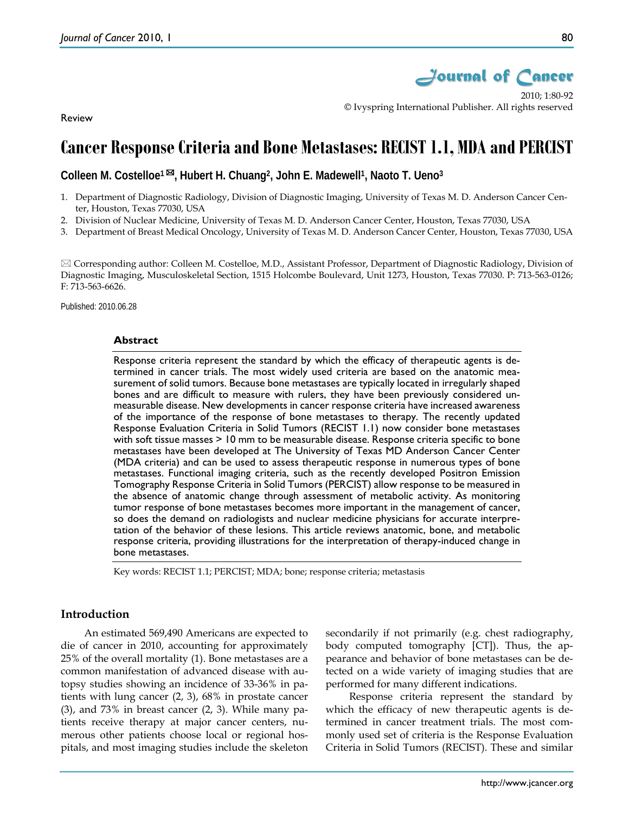

2010; 1:80-92 © Ivyspring International Publisher. All rights reserved

Review

# **Cancer Response Criteria and Bone Metastases: RECIST 1.1, MDA and PERCIST**

**Colleen M. Costelloe1 , Hubert H. Chuang2, John E. Madewell1, Naoto T. Ueno3**

- 1. Department of Diagnostic Radiology, Division of Diagnostic Imaging, University of Texas M. D. Anderson Cancer Center, Houston, Texas 77030, USA
- 2. Division of Nuclear Medicine, University of Texas M. D. Anderson Cancer Center, Houston, Texas 77030, USA
- 3. Department of Breast Medical Oncology, University of Texas M. D. Anderson Cancer Center, Houston, Texas 77030, USA

 Corresponding author: Colleen M. Costelloe, M.D., Assistant Professor, Department of Diagnostic Radiology, Division of Diagnostic Imaging, Musculoskeletal Section, 1515 Holcombe Boulevard, Unit 1273, Houston, Texas 77030. P: 713-563-0126; F: 713-563-6626.

Published: 2010.06.28

#### **Abstract**

Response criteria represent the standard by which the efficacy of therapeutic agents is determined in cancer trials. The most widely used criteria are based on the anatomic measurement of solid tumors. Because bone metastases are typically located in irregularly shaped bones and are difficult to measure with rulers, they have been previously considered unmeasurable disease. New developments in cancer response criteria have increased awareness of the importance of the response of bone metastases to therapy. The recently updated Response Evaluation Criteria in Solid Tumors (RECIST 1.1) now consider bone metastases with soft tissue masses > 10 mm to be measurable disease. Response criteria specific to bone metastases have been developed at The University of Texas MD Anderson Cancer Center (MDA criteria) and can be used to assess therapeutic response in numerous types of bone metastases. Functional imaging criteria, such as the recently developed Positron Emission Tomography Response Criteria in Solid Tumors (PERCIST) allow response to be measured in the absence of anatomic change through assessment of metabolic activity. As monitoring tumor response of bone metastases becomes more important in the management of cancer, so does the demand on radiologists and nuclear medicine physicians for accurate interpretation of the behavior of these lesions. This article reviews anatomic, bone, and metabolic response criteria, providing illustrations for the interpretation of therapy-induced change in bone metastases.

Key words: RECIST 1.1; PERCIST; MDA; bone; response criteria; metastasis

#### **Introduction**

An estimated 569,490 Americans are expected to die of cancer in 2010, accounting for approximately 25% of the overall mortality (1). Bone metastases are a common manifestation of advanced disease with autopsy studies showing an incidence of 33-36% in patients with lung cancer (2, 3), 68% in prostate cancer (3), and 73% in breast cancer (2, 3). While many patients receive therapy at major cancer centers, numerous other patients choose local or regional hospitals, and most imaging studies include the skeleton secondarily if not primarily (e.g. chest radiography, body computed tomography [CT]). Thus, the appearance and behavior of bone metastases can be detected on a wide variety of imaging studies that are performed for many different indications.

Response criteria represent the standard by which the efficacy of new therapeutic agents is determined in cancer treatment trials. The most commonly used set of criteria is the Response Evaluation Criteria in Solid Tumors (RECIST). These and similar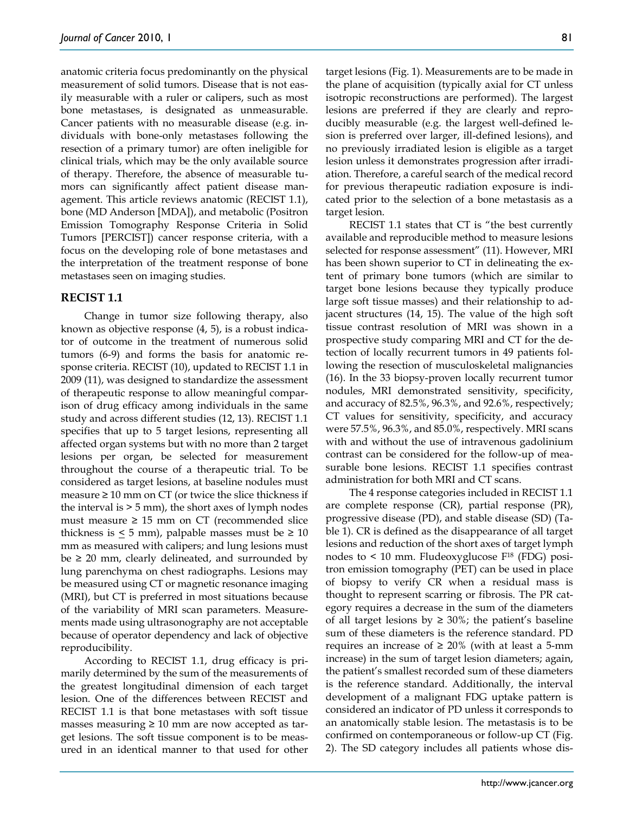anatomic criteria focus predominantly on the physical measurement of solid tumors. Disease that is not easily measurable with a ruler or calipers, such as most bone metastases, is designated as unmeasurable. Cancer patients with no measurable disease (e.g. individuals with bone-only metastases following the resection of a primary tumor) are often ineligible for clinical trials, which may be the only available source of therapy. Therefore, the absence of measurable tumors can significantly affect patient disease management. This article reviews anatomic (RECIST 1.1), bone (MD Anderson [MDA]), and metabolic (Positron Emission Tomography Response Criteria in Solid Tumors [PERCIST]) cancer response criteria, with a focus on the developing role of bone metastases and the interpretation of the treatment response of bone metastases seen on imaging studies.

#### **RECIST 1.1**

Change in tumor size following therapy, also known as objective response (4, 5), is a robust indicator of outcome in the treatment of numerous solid tumors (6-9) and forms the basis for anatomic response criteria. RECIST (10), updated to RECIST 1.1 in 2009 (11), was designed to standardize the assessment of therapeutic response to allow meaningful comparison of drug efficacy among individuals in the same study and across different studies (12, 13). RECIST 1.1 specifies that up to 5 target lesions, representing all affected organ systems but with no more than 2 target lesions per organ, be selected for measurement throughout the course of a therapeutic trial. To be considered as target lesions, at baseline nodules must measure  $\geq 10$  mm on CT (or twice the slice thickness if the interval is  $> 5$  mm), the short axes of lymph nodes must measure  $\geq 15$  mm on CT (recommended slice thickness is  $\leq$  5 mm), palpable masses must be  $\geq$  10 mm as measured with calipers; and lung lesions must be  $\geq$  20 mm, clearly delineated, and surrounded by lung parenchyma on chest radiographs. Lesions may be measured using CT or magnetic resonance imaging (MRI), but CT is preferred in most situations because of the variability of MRI scan parameters. Measurements made using ultrasonography are not acceptable because of operator dependency and lack of objective reproducibility.

According to RECIST 1.1, drug efficacy is primarily determined by the sum of the measurements of the greatest longitudinal dimension of each target lesion. One of the differences between RECIST and RECIST 1.1 is that bone metastases with soft tissue masses measuring  $\geq 10$  mm are now accepted as target lesions. The soft tissue component is to be measured in an identical manner to that used for other

target lesions (Fig. 1). Measurements are to be made in the plane of acquisition (typically axial for CT unless isotropic reconstructions are performed). The largest lesions are preferred if they are clearly and reproducibly measurable (e.g. the largest well-defined lesion is preferred over larger, ill-defined lesions), and no previously irradiated lesion is eligible as a target lesion unless it demonstrates progression after irradiation. Therefore, a careful search of the medical record for previous therapeutic radiation exposure is indicated prior to the selection of a bone metastasis as a target lesion.

RECIST 1.1 states that CT is "the best currently available and reproducible method to measure lesions selected for response assessment" (11). However, MRI has been shown superior to CT in delineating the extent of primary bone tumors (which are similar to target bone lesions because they typically produce large soft tissue masses) and their relationship to adjacent structures (14, 15). The value of the high soft tissue contrast resolution of MRI was shown in a prospective study comparing MRI and CT for the detection of locally recurrent tumors in 49 patients following the resection of musculoskeletal malignancies (16). In the 33 biopsy-proven locally recurrent tumor nodules, MRI demonstrated sensitivity, specificity, and accuracy of 82.5%, 96.3%, and 92.6%, respectively; CT values for sensitivity, specificity, and accuracy were 57.5%, 96.3%, and 85.0%, respectively. MRI scans with and without the use of intravenous gadolinium contrast can be considered for the follow-up of measurable bone lesions. RECIST 1.1 specifies contrast administration for both MRI and CT scans.

The 4 response categories included in RECIST 1.1 are complete response (CR), partial response (PR), progressive disease (PD), and stable disease (SD) (Table 1). CR is defined as the disappearance of all target lesions and reduction of the short axes of target lymph nodes to < 10 mm. Fludeoxyglucose F18 (FDG) positron emission tomography (PET) can be used in place of biopsy to verify CR when a residual mass is thought to represent scarring or fibrosis. The PR category requires a decrease in the sum of the diameters of all target lesions by  $\geq 30\%$ ; the patient's baseline sum of these diameters is the reference standard. PD requires an increase of  $\geq 20\%$  (with at least a 5-mm increase) in the sum of target lesion diameters; again, the patient's smallest recorded sum of these diameters is the reference standard. Additionally, the interval development of a malignant FDG uptake pattern is considered an indicator of PD unless it corresponds to an anatomically stable lesion. The metastasis is to be confirmed on contemporaneous or follow-up CT (Fig. 2). The SD category includes all patients whose dis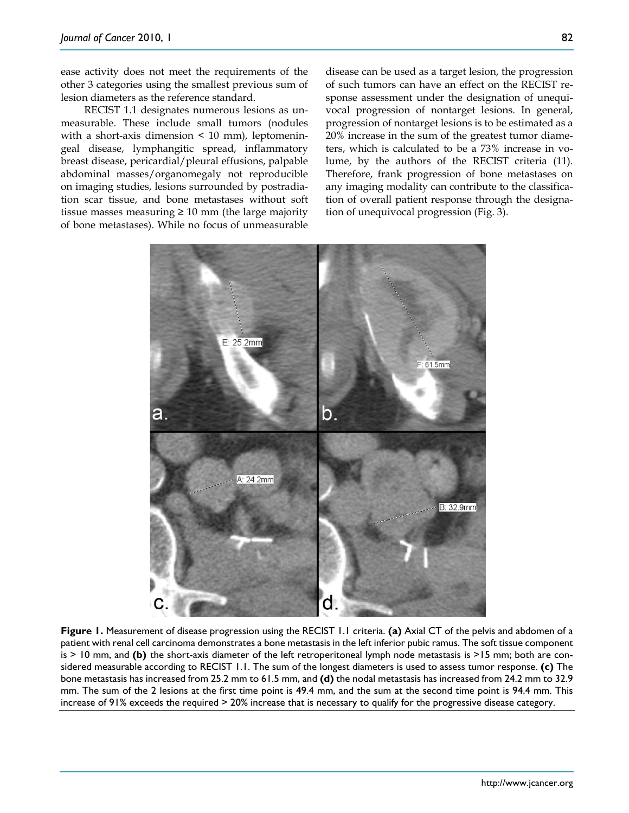ease activity does not meet the requirements of the other 3 categories using the smallest previous sum of lesion diameters as the reference standard.

RECIST 1.1 designates numerous lesions as unmeasurable. These include small tumors (nodules with a short-axis dimension  $\leq 10$  mm), leptomeningeal disease, lymphangitic spread, inflammatory breast disease, pericardial/pleural effusions, palpable abdominal masses/organomegaly not reproducible on imaging studies, lesions surrounded by postradiation scar tissue, and bone metastases without soft tissue masses measuring  $\geq 10$  mm (the large majority of bone metastases). While no focus of unmeasurable

disease can be used as a target lesion, the progression of such tumors can have an effect on the RECIST response assessment under the designation of unequivocal progression of nontarget lesions. In general, progression of nontarget lesions is to be estimated as a 20% increase in the sum of the greatest tumor diameters, which is calculated to be a 73% increase in volume, by the authors of the RECIST criteria (11). Therefore, frank progression of bone metastases on any imaging modality can contribute to the classification of overall patient response through the designation of unequivocal progression (Fig. 3).



**Figure 1.** Measurement of disease progression using the RECIST 1.1 criteria. **(a)** Axial CT of the pelvis and abdomen of a patient with renal cell carcinoma demonstrates a bone metastasis in the left inferior pubic ramus. The soft tissue component is > 10 mm, and **(b)** the short-axis diameter of the left retroperitoneal lymph node metastasis is >15 mm; both are considered measurable according to RECIST 1.1. The sum of the longest diameters is used to assess tumor response. **(c)** The bone metastasis has increased from 25.2 mm to 61.5 mm, and **(d)** the nodal metastasis has increased from 24.2 mm to 32.9 mm. The sum of the 2 lesions at the first time point is 49.4 mm, and the sum at the second time point is 94.4 mm. This increase of 91% exceeds the required > 20% increase that is necessary to qualify for the progressive disease category.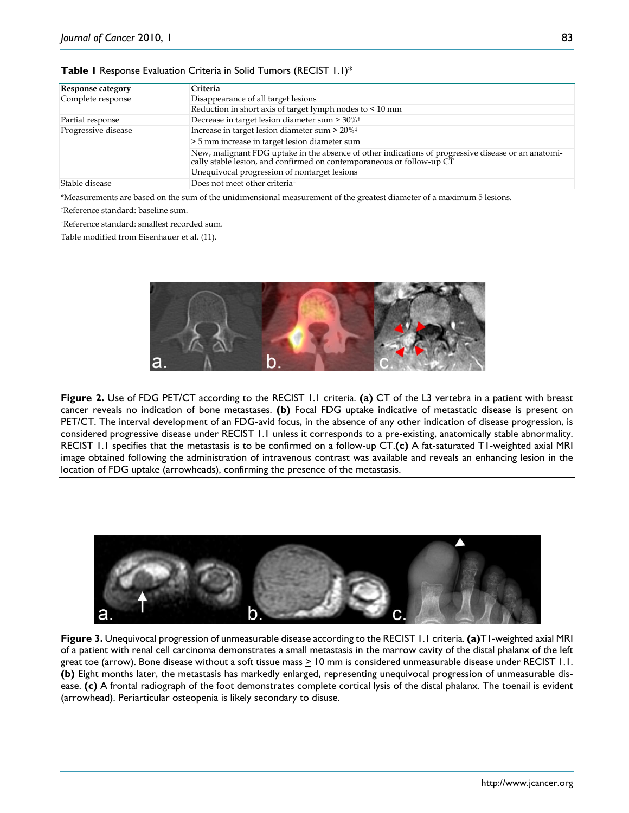### **Table 1** Response Evaluation Criteria in Solid Tumors (RECIST 1.1)\*

| Response category   | Criteria                                                                                                                                                                |  |  |
|---------------------|-------------------------------------------------------------------------------------------------------------------------------------------------------------------------|--|--|
| Complete response   | Disappearance of all target lesions                                                                                                                                     |  |  |
|                     | Reduction in short axis of target lymph nodes to < 10 mm                                                                                                                |  |  |
| Partial response    | Decrease in target lesion diameter sum > 30% <sup>t</sup>                                                                                                               |  |  |
| Progressive disease | Increase in target lesion diameter sum $\geq 20\%$ <sup>‡</sup>                                                                                                         |  |  |
|                     | > 5 mm increase in target lesion diameter sum                                                                                                                           |  |  |
|                     | New, malignant FDG uptake in the absence of other indications of progressive disease or an anatomically stable lesion, and confirmed on contemporaneous or follow-up CT |  |  |
|                     | Unequivocal progression of nontarget lesions                                                                                                                            |  |  |
| Stable disease      | Does not meet other criteria <sup>‡</sup>                                                                                                                               |  |  |

\*Measurements are based on the sum of the unidimensional measurement of the greatest diameter of a maximum 5 lesions.

†Reference standard: baseline sum.

‡Reference standard: smallest recorded sum.

Table modified from Eisenhauer et al. (11).



**Figure 2.** Use of FDG PET/CT according to the RECIST 1.1 criteria. **(a)** CT of the L3 vertebra in a patient with breast cancer reveals no indication of bone metastases. **(b)** Focal FDG uptake indicative of metastatic disease is present on PET/CT. The interval development of an FDG-avid focus, in the absence of any other indication of disease progression, is considered progressive disease under RECIST 1.1 unless it corresponds to a pre-existing, anatomically stable abnormality. RECIST 1.1 specifies that the metastasis is to be confirmed on a follow-up CT.**(c)** A fat-saturated T1-weighted axial MRI image obtained following the administration of intravenous contrast was available and reveals an enhancing lesion in the location of FDG uptake (arrowheads), confirming the presence of the metastasis.



**Figure 3.** Unequivocal progression of unmeasurable disease according to the RECIST 1.1 criteria. **(a)**T1-weighted axial MRI of a patient with renal cell carcinoma demonstrates a small metastasis in the marrow cavity of the distal phalanx of the left great toe (arrow). Bone disease without a soft tissue mass  $\geq 10$  mm is considered unmeasurable disease under RECIST 1.1. **(b)** Eight months later, the metastasis has markedly enlarged, representing unequivocal progression of unmeasurable disease. **(c)** A frontal radiograph of the foot demonstrates complete cortical lysis of the distal phalanx. The toenail is evident (arrowhead). Periarticular osteopenia is likely secondary to disuse.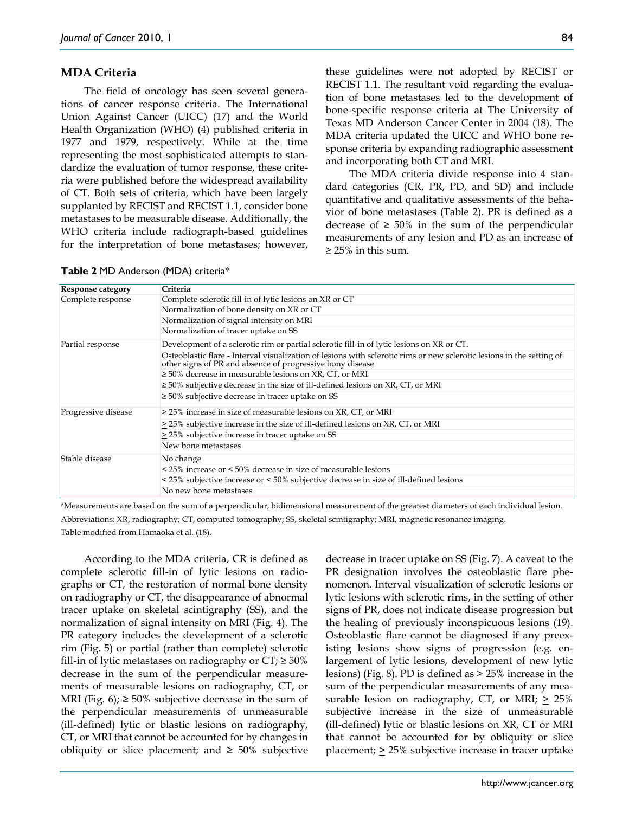## **MDA Criteria**

The field of oncology has seen several generations of cancer response criteria. The International Union Against Cancer (UICC) (17) and the World Health Organization (WHO) (4) published criteria in 1977 and 1979, respectively. While at the time representing the most sophisticated attempts to standardize the evaluation of tumor response, these criteria were published before the widespread availability of CT. Both sets of criteria, which have been largely supplanted by RECIST and RECIST 1.1, consider bone metastases to be measurable disease. Additionally, the WHO criteria include radiograph-based guidelines for the interpretation of bone metastases; however,

these guidelines were not adopted by RECIST or RECIST 1.1. The resultant void regarding the evaluation of bone metastases led to the development of bone-specific response criteria at The University of Texas MD Anderson Cancer Center in 2004 (18). The MDA criteria updated the UICC and WHO bone response criteria by expanding radiographic assessment and incorporating both CT and MRI.

The MDA criteria divide response into 4 standard categories (CR, PR, PD, and SD) and include quantitative and qualitative assessments of the behavior of bone metastases (Table 2). PR is defined as a decrease of  $≥ 50\%$  in the sum of the perpendicular measurements of any lesion and PD as an increase of  $≥ 25%$  in this sum.

| Response category   | Criteria                                                                                                                                                                           |
|---------------------|------------------------------------------------------------------------------------------------------------------------------------------------------------------------------------|
| Complete response   | Complete sclerotic fill-in of lytic lesions on XR or CT                                                                                                                            |
|                     | Normalization of bone density on XR or CT                                                                                                                                          |
|                     | Normalization of signal intensity on MRI                                                                                                                                           |
|                     | Normalization of tracer uptake on SS                                                                                                                                               |
| Partial response    | Development of a sclerotic rim or partial sclerotic fill-in of lytic lesions on XR or CT.                                                                                          |
|                     | Osteoblastic flare - Interval visualization of lesions with sclerotic rims or new sclerotic lesions in the setting of<br>other signs of PR and absence of progressive bony disease |
|                     | $\geq 50\%$ decrease in measurable lesions on XR, CT, or MRI                                                                                                                       |
|                     | $\geq$ 50% subjective decrease in the size of ill-defined lesions on XR, CT, or MRI                                                                                                |
|                     | $\geq 50\%$ subjective decrease in tracer uptake on SS                                                                                                                             |
| Progressive disease | > 25% increase in size of measurable lesions on XR, CT, or MRI                                                                                                                     |
|                     | > 25% subjective increase in the size of ill-defined lesions on XR, CT, or MRI                                                                                                     |
|                     | > 25% subjective increase in tracer uptake on SS                                                                                                                                   |
|                     | New bone metastases                                                                                                                                                                |
| Stable disease      | No change                                                                                                                                                                          |
|                     | < 25% increase or < 50% decrease in size of measurable lesions                                                                                                                     |
|                     | < 25% subjective increase or < 50% subjective decrease in size of ill-defined lesions                                                                                              |
|                     | No new bone metastases                                                                                                                                                             |

**Table 2** MD Anderson (MDA) criteria\*

\*Measurements are based on the sum of a perpendicular, bidimensional measurement of the greatest diameters of each individual lesion. Abbreviations: XR, radiography; CT, computed tomography; SS, skeletal scintigraphy; MRI, magnetic resonance imaging. Table modified from Hamaoka et al. (18).

According to the MDA criteria, CR is defined as complete sclerotic fill-in of lytic lesions on radiographs or CT, the restoration of normal bone density on radiography or CT, the disappearance of abnormal tracer uptake on skeletal scintigraphy (SS), and the normalization of signal intensity on MRI (Fig. 4). The PR category includes the development of a sclerotic rim (Fig. 5) or partial (rather than complete) sclerotic fill-in of lytic metastases on radiography or  $CT \ge 50\%$ decrease in the sum of the perpendicular measurements of measurable lesions on radiography, CT, or MRI (Fig. 6);  $\geq 50\%$  subjective decrease in the sum of the perpendicular measurements of unmeasurable (ill-defined) lytic or blastic lesions on radiography, CT, or MRI that cannot be accounted for by changes in obliquity or slice placement; and  $\geq$  50% subjective

decrease in tracer uptake on SS (Fig. 7). A caveat to the PR designation involves the osteoblastic flare phenomenon. Interval visualization of sclerotic lesions or lytic lesions with sclerotic rims, in the setting of other signs of PR, does not indicate disease progression but the healing of previously inconspicuous lesions (19). Osteoblastic flare cannot be diagnosed if any preexisting lesions show signs of progression (e.g. enlargement of lytic lesions, development of new lytic lesions) (Fig. 8). PD is defined as > 25% increase in the sum of the perpendicular measurements of any measurable lesion on radiography, CT, or MRI;  $\geq 25\%$ subjective increase in the size of unmeasurable (ill-defined) lytic or blastic lesions on XR, CT or MRI that cannot be accounted for by obliquity or slice placement;  $\geq$  25% subjective increase in tracer uptake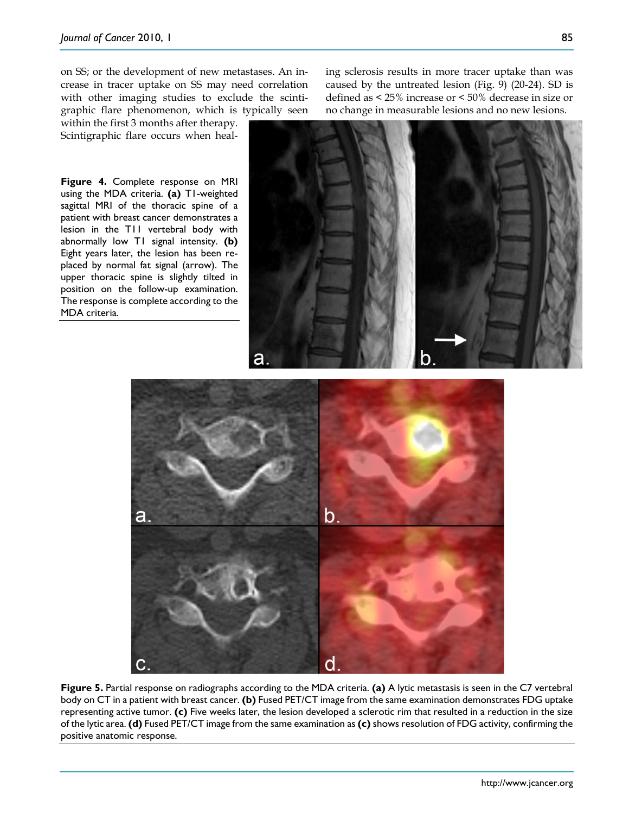on SS; or the development of new metastases. An increase in tracer uptake on SS may need correlation with other imaging studies to exclude the scintigraphic flare phenomenon, which is typically seen

within the first 3 months after therapy. Scintigraphic flare occurs when heal-

**Figure 4.** Complete response on MRI using the MDA criteria. **(a)** T1-weighted sagittal MRI of the thoracic spine of a patient with breast cancer demonstrates a lesion in the T11 vertebral body with abnormally low T1 signal intensity. **(b)** Eight years later, the lesion has been replaced by normal fat signal (arrow). The upper thoracic spine is slightly tilted in position on the follow-up examination. The response is complete according to the MDA criteria.

ing sclerosis results in more tracer uptake than was caused by the untreated lesion (Fig. 9) (20-24). SD is defined as < 25% increase or < 50% decrease in size or no change in measurable lesions and no new lesions.





**Figure 5.** Partial response on radiographs according to the MDA criteria. **(a)** A lytic metastasis is seen in the C7 vertebral body on CT in a patient with breast cancer. **(b)** Fused PET/CT image from the same examination demonstrates FDG uptake representing active tumor. **(c)** Five weeks later, the lesion developed a sclerotic rim that resulted in a reduction in the size of the lytic area. **(d)** Fused PET/CT image from the same examination as **(c)** shows resolution of FDG activity, confirming the positive anatomic response.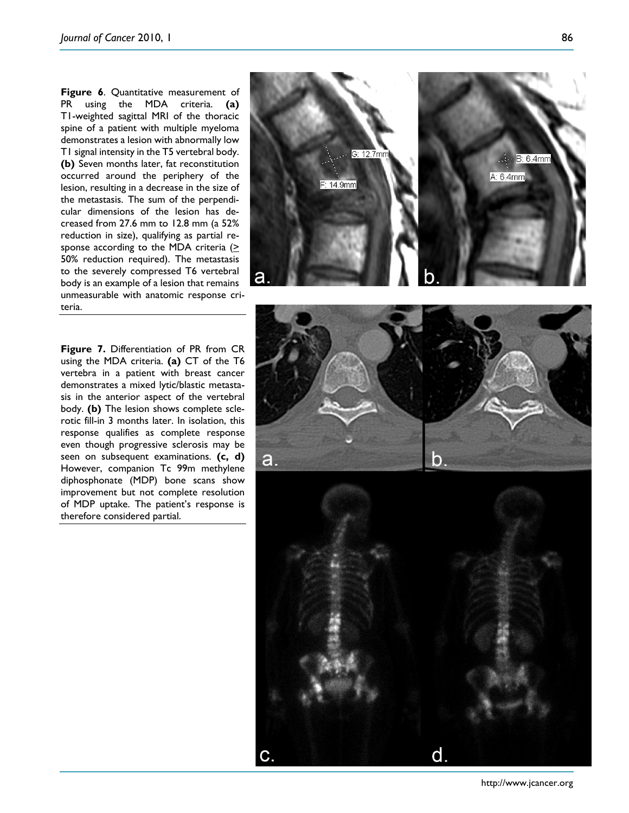**Figure 6**. Quantitative measurement of PR using the MDA criteria. **(a)** T1-weighted sagittal MRI of the thoracic spine of a patient with multiple myeloma demonstrates a lesion with abnormally low T1 signal intensity in the T5 vertebral body. **(b)** Seven months later, fat reconstitution occurred around the periphery of the lesion, resulting in a decrease in the size of the metastasis. The sum of the perpendicular dimensions of the lesion has decreased from 27.6 mm to 12.8 mm (a 52% reduction in size), qualifying as partial response according to the MDA criteria  $($ 50% reduction required). The metastasis to the severely compressed T6 vertebral body is an example of a lesion that remains unmeasurable with anatomic response criteria.

**Figure 7.** Differentiation of PR from CR using the MDA criteria. **(a)** CT of the T6 vertebra in a patient with breast cancer demonstrates a mixed lytic/blastic metastasis in the anterior aspect of the vertebral body. **(b)** The lesion shows complete sclerotic fill-in 3 months later. In isolation, this response qualifies as complete response even though progressive sclerosis may be seen on subsequent examinations. **(c, d)** However, companion Tc 99m methylene diphosphonate (MDP) bone scans show improvement but not complete resolution of MDP uptake. The patient's response is therefore considered partial.



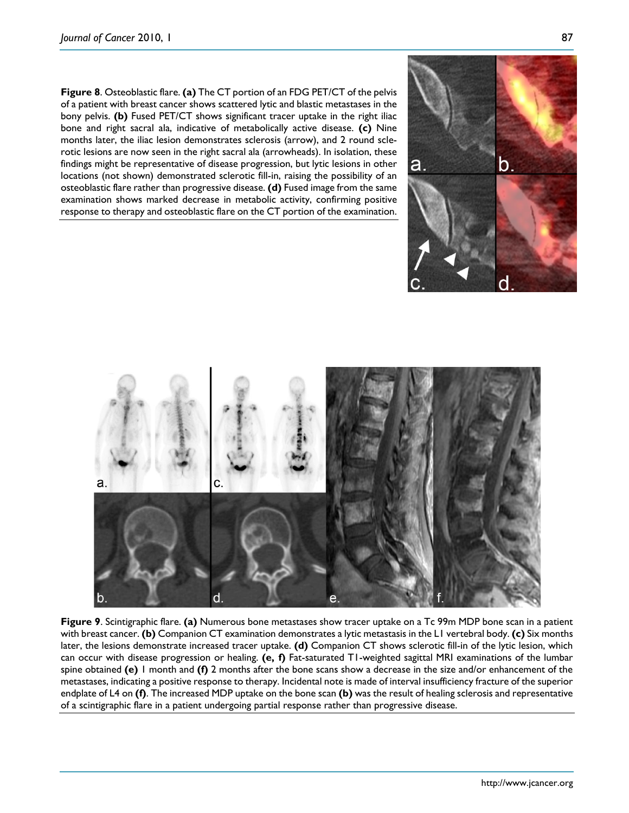**Figure 8**. Osteoblastic flare. **(a)** The CT portion of an FDG PET/CT of the pelvis of a patient with breast cancer shows scattered lytic and blastic metastases in the bony pelvis. **(b)** Fused PET/CT shows significant tracer uptake in the right iliac bone and right sacral ala, indicative of metabolically active disease. **(c)** Nine months later, the iliac lesion demonstrates sclerosis (arrow), and 2 round scle-

rotic lesions are now seen in the right sacral ala (arrowheads). In isolation, these findings might be representative of disease progression, but lytic lesions in other locations (not shown) demonstrated sclerotic fill-in, raising the possibility of an osteoblastic flare rather than progressive disease. **(d)** Fused image from the same examination shows marked decrease in metabolic activity, confirming positive response to therapy and osteoblastic flare on the CT portion of the examination.





**Figure 9**. Scintigraphic flare. **(a)** Numerous bone metastases show tracer uptake on a Tc 99m MDP bone scan in a patient with breast cancer. **(b)** Companion CT examination demonstrates a lytic metastasis in the L1 vertebral body. **(c)** Six months later, the lesions demonstrate increased tracer uptake. **(d)** Companion CT shows sclerotic fill-in of the lytic lesion, which can occur with disease progression or healing. **(e, f)** Fat-saturated T1-weighted sagittal MRI examinations of the lumbar spine obtained **(e)** 1 month and **(f)** 2 months after the bone scans show a decrease in the size and/or enhancement of the metastases, indicating a positive response to therapy. Incidental note is made of interval insufficiency fracture of the superior endplate of L4 on **(f)**. The increased MDP uptake on the bone scan **(b)** was the result of healing sclerosis and representative of a scintigraphic flare in a patient undergoing partial response rather than progressive disease.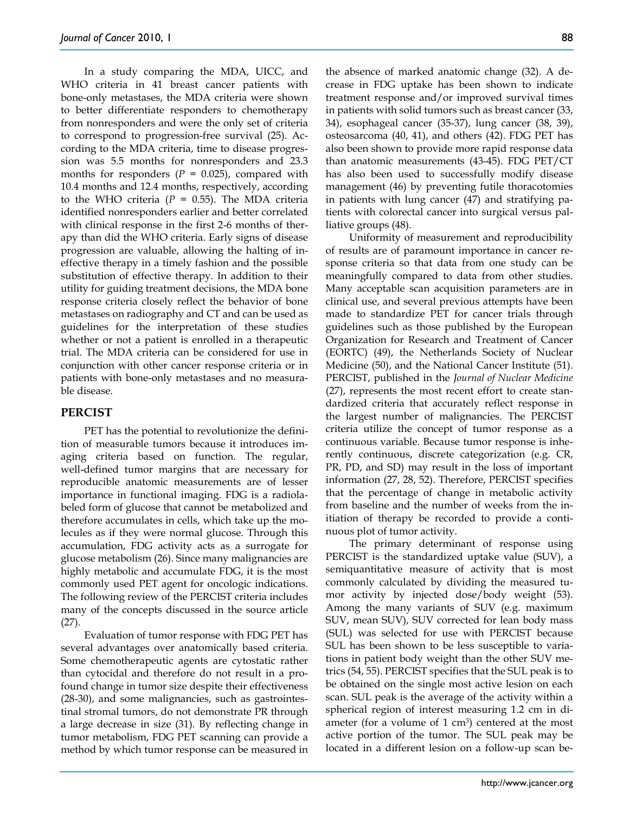In a study comparing the MDA, UICC, and WHO criteria in 41 breast cancer patients with bone-only metastases, the MDA criteria were shown to better differentiate responders to chemotherapy from nonresponders and were the only set of criteria to correspond to progression-free survival (25). According to the MDA criteria, time to disease progression was 5.5 months for nonresponders and 23.3 months for responders  $(P = 0.025)$ , compared with 10.4 months and 12.4 months, respectively, according to the WHO criteria ( $P = 0.55$ ). The MDA criteria identified nonresponders earlier and better correlated with clinical response in the first 2-6 months of therapy than did the WHO criteria. Early signs of disease progression are valuable, allowing the halting of ineffective therapy in a timely fashion and the possible substitution of effective therapy. In addition to their utility for guiding treatment decisions, the MDA bone response criteria closely reflect the behavior of bone metastases on radiography and CT and can be used as guidelines for the interpretation of these studies whether or not a patient is enrolled in a therapeutic trial. The MDA criteria can be considered for use in conjunction with other cancer response criteria or in patients with bone-only metastases and no measurable disease.

## **PERCIST**

PET has the potential to revolutionize the definition of measurable tumors because it introduces imaging criteria based on function. The regular, well-defined tumor margins that are necessary for reproducible anatomic measurements are of lesser importance in functional imaging. FDG is a radiolabeled form of glucose that cannot be metabolized and therefore accumulates in cells, which take up the molecules as if they were normal glucose. Through this accumulation, FDG activity acts as a surrogate for glucose metabolism (26). Since many malignancies are highly metabolic and accumulate FDG, it is the most commonly used PET agent for oncologic indications. The following review of the PERCIST criteria includes many of the concepts discussed in the source article (27).

Evaluation of tumor response with FDG PET has several advantages over anatomically based criteria. Some chemotherapeutic agents are cytostatic rather than cytocidal and therefore do not result in a profound change in tumor size despite their effectiveness (28-30), and some malignancies, such as gastrointestinal stromal tumors, do not demonstrate PR through a large decrease in size (31). By reflecting change in tumor metabolism, FDG PET scanning can provide a method by which tumor response can be measured in

the absence of marked anatomic change (32). A decrease in FDG uptake has been shown to indicate treatment response and/or improved survival times in patients with solid tumors such as breast cancer (33, 34), esophageal cancer (35-37), lung cancer (38, 39), osteosarcoma (40, 41), and others (42). FDG PET has also been shown to provide more rapid response data than anatomic measurements (43-45). FDG PET/CT has also been used to successfully modify disease management (46) by preventing futile thoracotomies in patients with lung cancer (47) and stratifying patients with colorectal cancer into surgical versus palliative groups (48).

Uniformity of measurement and reproducibility of results are of paramount importance in cancer response criteria so that data from one study can be meaningfully compared to data from other studies. Many acceptable scan acquisition parameters are in clinical use, and several previous attempts have been made to standardize PET for cancer trials through guidelines such as those published by the European Organization for Research and Treatment of Cancer (EORTC) (49), the Netherlands Society of Nuclear Medicine (50), and the National Cancer Institute (51). PERCIST, published in the *Journal of Nuclear Medicine* (27), represents the most recent effort to create standardized criteria that accurately reflect response in the largest number of malignancies. The PERCIST criteria utilize the concept of tumor response as a continuous variable. Because tumor response is inherently continuous, discrete categorization (e.g. CR, PR, PD, and SD) may result in the loss of important information (27, 28, 52). Therefore, PERCIST specifies that the percentage of change in metabolic activity from baseline and the number of weeks from the initiation of therapy be recorded to provide a continuous plot of tumor activity.

The primary determinant of response using PERCIST is the standardized uptake value (SUV), a semiquantitative measure of activity that is most commonly calculated by dividing the measured tumor activity by injected dose/body weight (53). Among the many variants of SUV (e.g. maximum SUV, mean SUV), SUV corrected for lean body mass (SUL) was selected for use with PERCIST because SUL has been shown to be less susceptible to variations in patient body weight than the other SUV metrics (54, 55). PERCIST specifies that the SUL peak is to be obtained on the single most active lesion on each scan. SUL peak is the average of the activity within a spherical region of interest measuring 1.2 cm in diameter (for a volume of 1 cm<sup>3</sup>) centered at the most active portion of the tumor. The SUL peak may be located in a different lesion on a follow-up scan be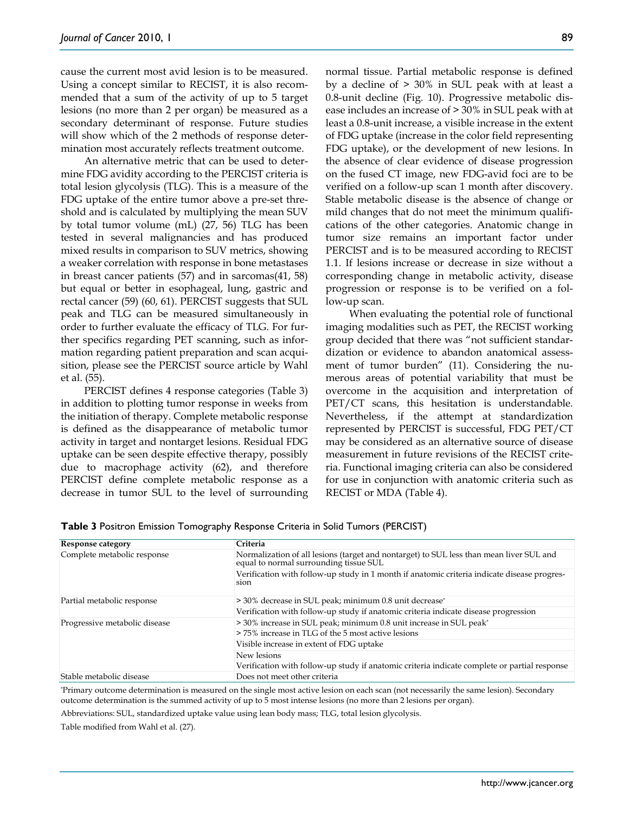cause the current most avid lesion is to be measured. Using a concept similar to RECIST, it is also recommended that a sum of the activity of up to 5 target lesions (no more than 2 per organ) be measured as a secondary determinant of response. Future studies will show which of the 2 methods of response determination most accurately reflects treatment outcome.

An alternative metric that can be used to determine FDG avidity according to the PERCIST criteria is total lesion glycolysis (TLG). This is a measure of the FDG uptake of the entire tumor above a pre-set threshold and is calculated by multiplying the mean SUV by total tumor volume (mL) (27, 56) TLG has been tested in several malignancies and has produced mixed results in comparison to SUV metrics, showing a weaker correlation with response in bone metastases in breast cancer patients (57) and in sarcomas(41, 58) but equal or better in esophageal, lung, gastric and rectal cancer (59) (60, 61). PERCIST suggests that SUL peak and TLG can be measured simultaneously in order to further evaluate the efficacy of TLG. For further specifics regarding PET scanning, such as information regarding patient preparation and scan acquisition, please see the PERCIST source article by Wahl et al. (55).

PERCIST defines 4 response categories (Table 3) in addition to plotting tumor response in weeks from the initiation of therapy. Complete metabolic response is defined as the disappearance of metabolic tumor activity in target and nontarget lesions. Residual FDG uptake can be seen despite effective therapy, possibly due to macrophage activity (62), and therefore PERCIST define complete metabolic response as a decrease in tumor SUL to the level of surrounding

normal tissue. Partial metabolic response is defined by a decline of > 30% in SUL peak with at least a 0.8-unit decline (Fig. 10). Progressive metabolic disease includes an increase of > 30% in SUL peak with at least a 0.8-unit increase, a visible increase in the extent of FDG uptake (increase in the color field representing FDG uptake), or the development of new lesions. In the absence of clear evidence of disease progression on the fused CT image, new FDG-avid foci are to be verified on a follow-up scan 1 month after discovery. Stable metabolic disease is the absence of change or mild changes that do not meet the minimum qualifications of the other categories. Anatomic change in tumor size remains an important factor under PERCIST and is to be measured according to RECIST 1.1. If lesions increase or decrease in size without a corresponding change in metabolic activity, disease progression or response is to be verified on a follow-up scan.

When evaluating the potential role of functional imaging modalities such as PET, the RECIST working group decided that there was "not sufficient standardization or evidence to abandon anatomical assessment of tumor burden" (11). Considering the numerous areas of potential variability that must be overcome in the acquisition and interpretation of PET/CT scans, this hesitation is understandable. Nevertheless, if the attempt at standardization represented by PERCIST is successful, FDG PET/CT may be considered as an alternative source of disease measurement in future revisions of the RECIST criteria. Functional imaging criteria can also be considered for use in conjunction with anatomic criteria such as RECIST or MDA (Table 4).

| Response category             | Criteria                                                                                                                       |  |
|-------------------------------|--------------------------------------------------------------------------------------------------------------------------------|--|
| Complete metabolic response   | Normalization of all lesions (target and nontarget) to SUL less than mean liver SUL and equal to normal surrounding tissue SUL |  |
|                               | Verification with follow-up study in 1 month if anatomic criteria indicate disease progres-<br>sion                            |  |
| Partial metabolic response    | > 30% decrease in SUL peak; minimum 0.8 unit decrease*                                                                         |  |
|                               | Verification with follow-up study if anatomic criteria indicate disease progression                                            |  |
| Progressive metabolic disease | > 30% increase in SUL peak; minimum 0.8 unit increase in SUL peak*                                                             |  |
|                               | >75% increase in TLG of the 5 most active lesions                                                                              |  |
|                               | Visible increase in extent of FDG uptake                                                                                       |  |
|                               | New lesions                                                                                                                    |  |
|                               | Verification with follow-up study if anatomic criteria indicate complete or partial response                                   |  |
| Stable metabolic disease      | Does not meet other criteria                                                                                                   |  |

**Table 3** Positron Emission Tomography Response Criteria in Solid Tumors (PERCIST)

\* Primary outcome determination is measured on the single most active lesion on each scan (not necessarily the same lesion). Secondary outcome determination is the summed activity of up to 5 most intense lesions (no more than 2 lesions per organ).

Abbreviations: SUL, standardized uptake value using lean body mass; TLG, total lesion glycolysis.

Table modified from Wahl et al. (27).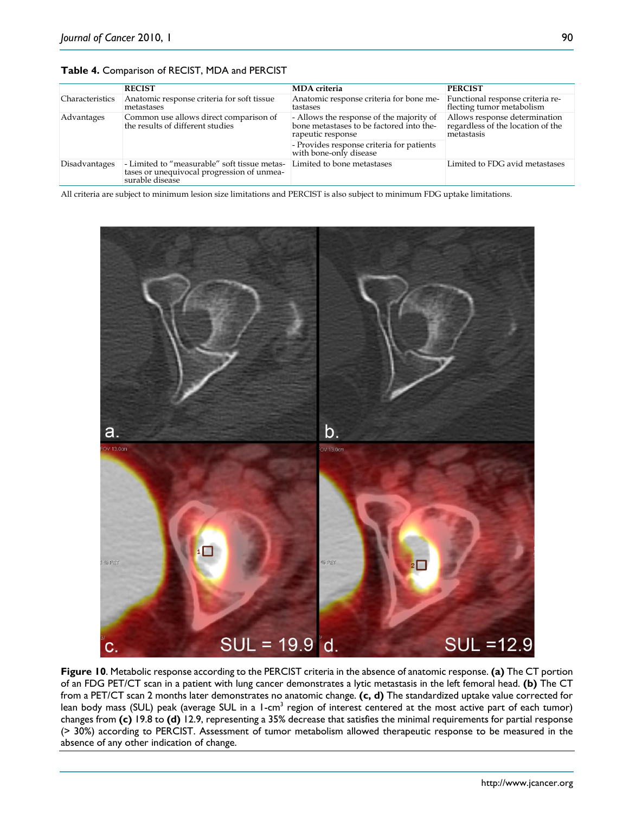|                        | <b>RECIST</b>                                                                                                 | <b>MDA</b> criteria                                                                                       | <b>PERCIST</b>                                                                   |
|------------------------|---------------------------------------------------------------------------------------------------------------|-----------------------------------------------------------------------------------------------------------|----------------------------------------------------------------------------------|
| <b>Characteristics</b> | Anatomic response criteria for soft tissue<br>metastases                                                      | Anatomic response criteria for bone me-<br>tastases                                                       | Functional response criteria re-<br>flecting tumor metabolism                    |
| Advantages             | Common use allows direct comparison of<br>the results of different studies                                    | - Allows the response of the majority of<br>bone metastases to be factored into the-<br>rapeutic response | Allows response determination<br>regardless of the location of the<br>metastasis |
|                        |                                                                                                               | - Provides response criteria for patients<br>with bone-only disease                                       |                                                                                  |
| Disadvantages          | - Limited to "measurable" soft tissue metas-<br>tases or unequivocal progression of unmea-<br>surable disease | Limited to bone metastases                                                                                | Limited to FDG avid metastases                                                   |

**Table 4.** Comparison of RECIST, MDA and PERCIST

All criteria are subject to minimum lesion size limitations and PERCIST is also subject to minimum FDG uptake limitations.



**Figure 10**. Metabolic response according to the PERCIST criteria in the absence of anatomic response. **(a)** The CT portion of an FDG PET/CT scan in a patient with lung cancer demonstrates a lytic metastasis in the left femoral head. **(b)** The CT from a PET/CT scan 2 months later demonstrates no anatomic change. **(c, d)** The standardized uptake value corrected for lean body mass (SUL) peak (average SUL in a 1-cm<sup>3</sup> region of interest centered at the most active part of each tumor) changes from **(c)** 19.8 to **(d)** 12.9, representing a 35% decrease that satisfies the minimal requirements for partial response (> 30%) according to PERCIST. Assessment of tumor metabolism allowed therapeutic response to be measured in the absence of any other indication of change.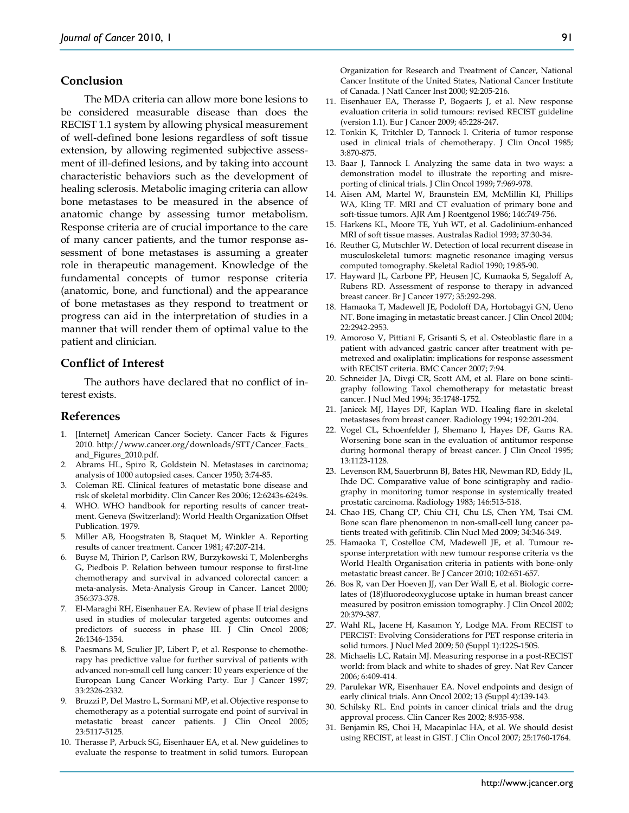## **Conclusion**

The MDA criteria can allow more bone lesions to be considered measurable disease than does the RECIST 1.1 system by allowing physical measurement of well-defined bone lesions regardless of soft tissue extension, by allowing regimented subjective assessment of ill-defined lesions, and by taking into account characteristic behaviors such as the development of healing sclerosis. Metabolic imaging criteria can allow bone metastases to be measured in the absence of anatomic change by assessing tumor metabolism. Response criteria are of crucial importance to the care of many cancer patients, and the tumor response assessment of bone metastases is assuming a greater role in therapeutic management. Knowledge of the fundamental concepts of tumor response criteria (anatomic, bone, and functional) and the appearance of bone metastases as they respond to treatment or progress can aid in the interpretation of studies in a manner that will render them of optimal value to the patient and clinician.

#### **Conflict of Interest**

The authors have declared that no conflict of interest exists.

#### **References**

- 1. [Internet] American Cancer Society. Cancer Facts & Figures 2010. http://www.cancer.org/downloads/STT/Cancer\_Facts\_ and\_Figures\_2010.pdf.
- 2. Abrams HL, Spiro R, Goldstein N. Metastases in carcinoma; analysis of 1000 autopsied cases. Cancer 1950; 3:74-85.
- 3. Coleman RE. Clinical features of metastatic bone disease and risk of skeletal morbidity. Clin Cancer Res 2006; 12:6243s-6249s.
- 4. WHO. WHO handbook for reporting results of cancer treatment. Geneva (Switzerland): World Health Organization Offset Publication. 1979.
- 5. Miller AB, Hoogstraten B, Staquet M, Winkler A. Reporting results of cancer treatment. Cancer 1981; 47:207-214.
- 6. Buyse M, Thirion P, Carlson RW, Burzykowski T, Molenberghs G, Piedbois P. Relation between tumour response to first-line chemotherapy and survival in advanced colorectal cancer: a meta-analysis. Meta-Analysis Group in Cancer. Lancet 2000; 356:373-378.
- 7. El-Maraghi RH, Eisenhauer EA. Review of phase II trial designs used in studies of molecular targeted agents: outcomes and predictors of success in phase III. J Clin Oncol 2008; 26:1346-1354.
- 8. Paesmans M, Sculier JP, Libert P, et al. Response to chemotherapy has predictive value for further survival of patients with advanced non-small cell lung cancer: 10 years experience of the European Lung Cancer Working Party. Eur J Cancer 1997; 33:2326-2332.
- 9. Bruzzi P, Del Mastro L, Sormani MP, et al. Objective response to chemotherapy as a potential surrogate end point of survival in metastatic breast cancer patients. J Clin Oncol 2005; 23:5117-5125.
- 10. Therasse P, Arbuck SG, Eisenhauer EA, et al. New guidelines to evaluate the response to treatment in solid tumors. European

Organization for Research and Treatment of Cancer, National Cancer Institute of the United States, National Cancer Institute of Canada. J Natl Cancer Inst 2000; 92:205-216.

- 11. Eisenhauer EA, Therasse P, Bogaerts J, et al. New response evaluation criteria in solid tumours: revised RECIST guideline (version 1.1). Eur J Cancer 2009; 45:228-247.
- 12. Tonkin K, Tritchler D, Tannock I. Criteria of tumor response used in clinical trials of chemotherapy. J Clin Oncol 1985; 3:870-875.
- 13. Baar J, Tannock I. Analyzing the same data in two ways: a demonstration model to illustrate the reporting and misreporting of clinical trials. J Clin Oncol 1989; 7:969-978.
- 14. Aisen AM, Martel W, Braunstein EM, McMillin KI, Phillips WA, Kling TF. MRI and CT evaluation of primary bone and soft-tissue tumors. AJR Am J Roentgenol 1986; 146:749-756.
- 15. Harkens KL, Moore TE, Yuh WT, et al. Gadolinium-enhanced MRI of soft tissue masses. Australas Radiol 1993; 37:30-34.
- 16. Reuther G, Mutschler W. Detection of local recurrent disease in musculoskeletal tumors: magnetic resonance imaging versus computed tomography. Skeletal Radiol 1990; 19:85-90.
- 17. Hayward JL, Carbone PP, Heusen JC, Kumaoka S, Segaloff A, Rubens RD. Assessment of response to therapy in advanced breast cancer. Br J Cancer 1977; 35:292-298.
- 18. Hamaoka T, Madewell JE, Podoloff DA, Hortobagyi GN, Ueno NT. Bone imaging in metastatic breast cancer. J Clin Oncol 2004; 22:2942-2953.
- 19. Amoroso V, Pittiani F, Grisanti S, et al. Osteoblastic flare in a patient with advanced gastric cancer after treatment with pemetrexed and oxaliplatin: implications for response assessment with RECIST criteria. BMC Cancer 2007; 7:94.
- 20. Schneider JA, Divgi CR, Scott AM, et al. Flare on bone scintigraphy following Taxol chemotherapy for metastatic breast cancer. J Nucl Med 1994; 35:1748-1752.
- 21. Janicek MJ, Hayes DF, Kaplan WD. Healing flare in skeletal metastases from breast cancer. Radiology 1994; 192:201-204.
- 22. Vogel CL, Schoenfelder J, Shemano I, Hayes DF, Gams RA. Worsening bone scan in the evaluation of antitumor response during hormonal therapy of breast cancer. J Clin Oncol 1995; 13:1123-1128.
- 23. Levenson RM, Sauerbrunn BJ, Bates HR, Newman RD, Eddy JL, Ihde DC. Comparative value of bone scintigraphy and radiography in monitoring tumor response in systemically treated prostatic carcinoma. Radiology 1983; 146:513-518.
- 24. Chao HS, Chang CP, Chiu CH, Chu LS, Chen YM, Tsai CM. Bone scan flare phenomenon in non-small-cell lung cancer patients treated with gefitinib. Clin Nucl Med 2009; 34:346-349.
- 25. Hamaoka T, Costelloe CM, Madewell JE, et al. Tumour response interpretation with new tumour response criteria vs the World Health Organisation criteria in patients with bone-only metastatic breast cancer. Br J Cancer 2010; 102:651-657.
- 26. Bos R, van Der Hoeven JJ, van Der Wall E, et al. Biologic correlates of (18)fluorodeoxyglucose uptake in human breast cancer measured by positron emission tomography. J Clin Oncol 2002; 20:379-387.
- 27. Wahl RL, Jacene H, Kasamon Y, Lodge MA. From RECIST to PERCIST: Evolving Considerations for PET response criteria in solid tumors. J Nucl Med 2009; 50 (Suppl 1):122S-150S.
- 28. Michaelis LC, Ratain MJ. Measuring response in a post-RECIST world: from black and white to shades of grey. Nat Rev Cancer 2006; 6:409-414.
- 29. Parulekar WR, Eisenhauer EA. Novel endpoints and design of early clinical trials. Ann Oncol 2002; 13 (Suppl 4):139-143.
- 30. Schilsky RL. End points in cancer clinical trials and the drug approval process. Clin Cancer Res 2002; 8:935-938.
- 31. Benjamin RS, Choi H, Macapinlac HA, et al. We should desist using RECIST, at least in GIST. J Clin Oncol 2007; 25:1760-1764.